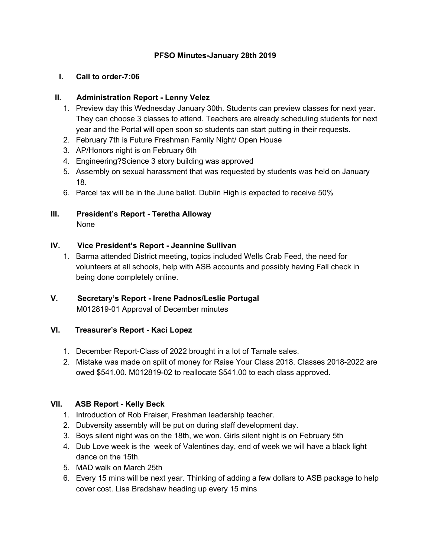## **PFSO Minutes-January 28th 2019**

#### **I. Call to order-7:06**

## **II. Administration Report - Lenny Velez**

- 1. Preview day this Wednesday January 30th. Students can preview classes for next year. They can choose 3 classes to attend. Teachers are already scheduling students for next year and the Portal will open soon so students can start putting in their requests.
- 2. February 7th is Future Freshman Family Night/ Open House
- 3. AP/Honors night is on February 6th
- 4. Engineering?Science 3 story building was approved
- 5. Assembly on sexual harassment that was requested by students was held on January 18.
- 6. Parcel tax will be in the June ballot. Dublin High is expected to receive 50%
- **III. President's Report - Teretha Alloway** None

## **IV. Vice President's Report - Jeannine Sullivan**

1. Barma attended District meeting, topics included Wells Crab Feed, the need for volunteers at all schools, help with ASB accounts and possibly having Fall check in being done completely online.

#### **V. Secretary's Report - Irene Padnos/Leslie Portugal** M012819-01 Approval of December minutes

## **VI. Treasurer's Report - Kaci Lopez**

- 1. December Report-Class of 2022 brought in a lot of Tamale sales.
- 2. Mistake was made on split of money for Raise Your Class 2018. Classes 2018-2022 are owed \$541.00. M012819-02 to reallocate \$541.00 to each class approved.

## **VII. ASB Report - Kelly Beck**

- 1. Introduction of Rob Fraiser, Freshman leadership teacher.
- 2. Dubversity assembly will be put on during staff development day.
- 3. Boys silent night was on the 18th, we won. Girls silent night is on February 5th
- 4. Dub Love week is the week of Valentines day, end of week we will have a black light dance on the 15th.
- 5. MAD walk on March 25th
- 6. Every 15 mins will be next year. Thinking of adding a few dollars to ASB package to help cover cost. Lisa Bradshaw heading up every 15 mins